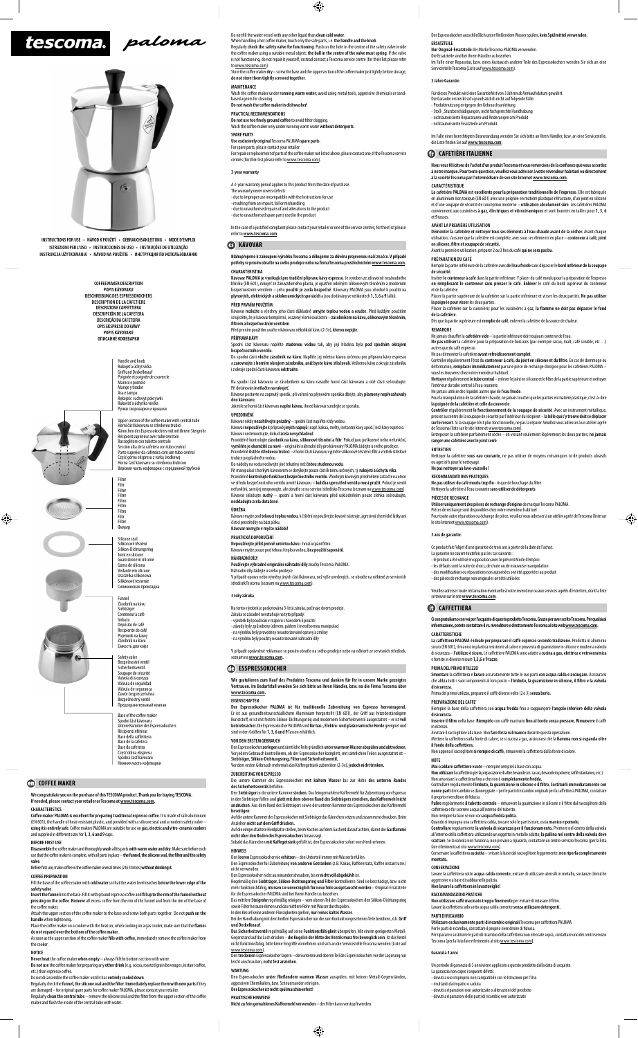# tescoma. paloma



**INSTRUCTIONS FOR USE • NÁVOD K POUŽITÍ • GEBRAUCHSANLEITUNG • MODE D'EMPLOI ISTRUZIONI PER L'USO • INSTRUCCIONES DE USO • INSTRUÇÕES DE UTILIZAÇÃO** INSTRUKCJA UŻYTKOWANIA • NÁVOD NA POUŽITIE • ИНСТРУКЦИЯ ПО ИСПОЛЬ**:** 

**We congratulate you on the purchase of this TESCOMA product. Thank you for buying TESCOMA. If needed, please contact your retailer or Tescoma at www.tescoma.co CHARACTERISTICS** 

Do not fill the water vessel with any other liquid than **clean cold water**.

When handling a hot coffee maker, touch only the safe parts, i.e. the handle and the knob Regularly **check the safety valve for functioning**. Push on the hole in the centre of the safety valve inside<br>the coffee maker using a suitable metal object; **the ball in the centre of the valve must spring**. If the valve is not functioning, do not repair it yourself; instead contact a Tescoma service centre (for their list please refer<br>to www.tescoma.com). to www.tescoma

# **COFFEE MAKER**

**Coff ee maker PALOMA is excellent for preparing traditional espresso coff ee**. It is made of safe aluminium (EN 601), the handle of heat-resistant plastic, and provided with a silicone seal and a modern safety valve – **using it is entirely safe**. Coff ee makers PALOMA are suitable for use on **gas, electric and vitro-ceramic cookers**  and supplied in diff erent sizes for **1, 3, 6 and 9** cups.

Fill the base of the coffee maker with cold water so that the water level reaches below the lower edge of the **safety valve**.

Insert the funnel into the base. Fill it with ground espresso coffee and fill up to the rim of the funnel without<br>pressing on the coffee. Remove all excess coffee from the rim of the funnel and from the rim of the base of the coffee maker.

# **BEFORE FIRST USE**

**Disassemble** the coffee maker and thoroughly **wash** all its parts wit**h warm water and dry**. Make sure before each<br>use that the coffee maker is complete, with all parts in place — **the funnel, the silicone seal, the filte** 

**valve**.<br>Before first use, make coffee in the coffee maker several times (2 to 3 times) **without drinking it.** 

Attach the upper section of the coffee maker to the base and screw both parts together. Do not push on the **handle** when tightening**.** 

Place the coffee maker on a cooker with the heat on; when cooking on a gas cooker, make sure that the flames

**do not expand over the bottom of the coffee maker.**<br>As soon as the upper section of the coffee maker **fills with coffee**, immediately remove the coffee maker from the cooker.

Regularly check the **funnel, the silicone seal and the fi lter**. **Immediately replace them with new parts** if they are damaged – for original spare parts for coffee maker PALOMA, please contact your retailer. Regularly **clean the central tube** – remove the silicone seal and the filter from the upper section of the coffee

maker and flush the inside of the central tube with water

## **COFFEE PREPARATION**

Store the coffee maker dry - screw the base and the upper section of the coffee maker just lightly before storage **do not store them tightly screwed together**.

PRACTICAL RECOMMENDATIONS<br>Do not use too finely ground coffee to avoid filter clogging. Wash the coff ee maker only under running warm water **without detergents**.

### **NOTICE**

Never heat the coffee maker when empty - always fill the bottom section with water. Do not use the coffee maker for preparing any other drink (e.g. cocoa, roasted grain beverages, instant coffee,

etc.) than espresso coffee

For spare parts, please contact your retailer.<br>For repair or replacement of parts of the coffee aker not listed above, please contact one of the Tescoma service centres (for their list please refer to www.tescoma.com).

In the case of a justified complaint please contact your retailer or one of the service centres; for their list please refer to **www.tescoma.com**.

# **B** KÁVOVAR

Do not disassemble the coff ee maker until it has **entirely cooled down**.

Blahopřejeme k zakoupení výrobku Tescoma a děkujeme za důvěru projevenou naší značce. V případě<br>potřeby se prosím obraťte na svého prodejce nebo na firmu Tescoma prostřednictvím <u>www.tescoma.com</u>. **CHARAKTERISTIKA**

Kávovar **rozložte** a všechny jeho části důkladně **umyjte teplou vodou a osušte**. Před každým použitím<br>se ujistěte, žeje kávovarkompletní, osazený všemi součástmi – **zásobníkem na kávu, silikonovým těsněním, fi ltrem a bezpečnostním ventilem**.

# **MAINTENANCE**

Wash the coffee maker under **running warm water**; avoid using metal tools, aggressive chemicals or sand based agents for cleaning.<br>**Do not wash the coffee maker in dishwasher**!

Při manipulaci s horkým kávovarem se dotýkejte pouze částí k tomu určených, tj. **rukojeti a úchytu víka**.<br>Pravidelně **kontrolujte funkčnost bezpečnostního ventilu**. Vhodným kovovým předmětem zatlačte na otvor ve středu bezpečnostního ventilu uvnitř kávovaru – **kulička uprostřed ventilu musí pružit**. Pokud je ventil<br>nefunkční, sami jej neopravujte, ale obratte se na servisní středisko Tescoma (seznam na <u>wrwu tescoma. com</u>).<br>Káv **neskladujte zcela dotažené**.

# **SPARE PARTS**

**Use exclusively original** Tescoma PALOMA **spare parts**.

Nepoužívejte příliš jemně umletou kávu - hrozí ucpání filtru. Kávovar myjte pouze pod tekoucí teplou vodou**, bez použití saponátů**.

V případě opravy nebo výměny jiných částí kávovaru, než výše uvedených, se obraťte na některé ze servisních středisek Tescoma (seznam na www.tescoma.com).

#### **3-year warranty**

A 3-year warranty period applies to this product from the date of purchase. The warranty never covers defects:

- due to improper use incompatible with the Instructions for use

- resulting from an impact, fall or mishandling - due to unauthorised repairs of and alterations to the product

- due to unauthorised spare parts used in the product

Den Espressokocher **zerlegen** und sämtliche Teile gründlich **unter warmem Wasser abspülen und abtrocknen**. Vor jedem Gebrauch kontrollieren, ob der Espressokocher komplett, mit sämtlichen Teilen ausgestattet ist – **Siebträger, Silikon-Dichtungsring, Filter und Sicherheitsventil.<br>Vor dem ersten Gebrauch mehrmals das Kaffeegetränk zubereiten (2-3x), <b>jedoch nicht trinken.** 

**Kávovar PALOMA je vynikající pro tradiční přípravu kávy espresso**. Je vyroben ze zdravotně nezávadného hliníku (EN 601), rukojeť ze žáruvzdorného plastu, je opatřen odolným silikonovým těsněním a moderním bezpečnostním ventilem – jeho **použití je zcela bezpečné**. Kávovary PALOMA jsou vhodné k použití na **plynových, elektrických a sklokeramických sporácích** a jsou dodávány ve velikostech **1, 3, 6 a 9** šálků.

#### **PŘED PRVNÍM POUŽITÍM**

Před prvním použitím uvařte v kávovaru několikrát kávu (2-3x), **kterou nepijte.** 

#### **PŘÍPRAVA KÁVY**

Spodní část kávovaru naplňte **studenou vodou** tak, aby její hladina byla **pod spodním okrajem bezpečnostního ventilu**.

Do spodní části **vložte zásobník na kávu**. Naplňte jej mletou kávou určenou pro přípravu kávy espresso a **zarovnejte s horním okrajem zásobníku, aniž byste kávu stlačovali**. Veškerou kávu z okraje zásobníku i z okraje spodní části kávovaru **odstraňte**.

sokocher lagern – den unteren und oberen Teil des Espressokochers vor der Lagerung nu leicht anschrauben, **nicht fest anziehen**.

Na spodní část kávovaru se zásobníkem na kávu nasaďte horní část kávovaru a obě části sešroubujte. Při dotahování **netlačte na rukojeť.**  Kávovar postavte na zapnutý sporák, při vaření na plynovém sporáku dbejte, aby **plameny nepřesahovaly** 

okocher **unter fließendem warmen Wasser** ausspülen, mit keinen Metall-Gegenstände aggessiven Chemikalien, bzw. Scheuersanden reinigen. **Der Espressokocher ist nicht spülmaschinenfest!**

**PRAKTISCHE HINWEISE** Nicht zu fein gemahlenes Kaffeemehl verwenden - der Filter kann verstopft werden.

#### **dno kávovaru**.

Jakmile se horní část kávovaru **naplní kávou**, ihned kávovar sundejte ze sporáku.

#### **UPOZORNĚNÍ**

Im Falle einer Reparatur, bzw. eines Austausch anderer Teile des Espressokochers wenden Sie sich an eine Servicestelle Tescoma (Liste auf www.tescoma.com).

Kávovar nikdy **nezahřívejte prázdný** – spodní část naplňte vždy vodou.

Kávova**r nepoužívejte**k přípravě **jiných nápojů** (např. kakaa, melty, instantní kávy apod.) než kávy espresso.<br>Kávovar nedemontujte, dokud **zcela nevychladnul.**<br>Pravidelně kontrolujte zás**obník na kávu, silikonové těsnění** 

**vyměňte je okamžitě za nové** — originální náhradní díly pro kávovary PALOMA žádejte u svého prodejce.<br>Pravidelně **čistěte středovou trubici —** z horní části kávovaru vyjměte silikonové těsnění i filtr a vnitřek středové

# trubice propláchněte vodou.

Do nádoby na vodu nedávejte jiné tekutiny než **čistou studenou vodu**.

L**a cafetière PALOMA est excellente pour la préparation traditionnelle de l'expresso. Elle est fabriquée<br>en aluminium non toxique (EN 601) avec une poignée en matière plastique réfractaire, d'un joint en silicone<br>et d'une** conviennent aux cuisinières **à gaz, électriques et vitrocéramiques** et sont fournies en tailles pour **1, 3, 6** et **9** tasses.

Démonter la cafetière et nettoyer tous ses éléments à l'eau chaude avant de la sécher. Avant chaque<br>utilisation, s'assurer que la cafetière est complète, avec sous ses éléments en place — **conteneur à café, joint en silicone, fi ltre et soupape de sécurité.**

**ÚDRŽBA**

Placer la cafetière sur la cuisinière; pour les cuisinières à gaz, la flamme ne doit pas dépasser le fond **de la cafetière**.

Kávovar myjte pod **tekoucí teplou vodou**, k čištění nepoužívejte kovové nástroje, agresivní chemické látky ani čisticí prostředky na bázi písku.

**Kávovar nemyjte v myčce nádobí!**

**PRAKTICKÁ DOPORUČENÍ**

**NÁHRADNÍ DÍLY**

# **Používejte výhradně originální náhradní díly** značky Tescoma PALOMA.

Náhradní díly žádejte u svého prodejce.

## **3 roky záruka**

Na tento výrobek je poskytována 3-letá záruka, počínaje dnem prodeje. Záruka se zásadně nevztahuje na tyto případy: - výrobek byl používán v rozporu s návodem k použití - závady byly způsobeny úderem, pádem či neodbornou manipulací - na výrobku byly provedeny neautorizované opravy a změny - na výrobku byly použity neautorizované náhradní díly

V případě oprávněné reklamace se prosím obraťte na svého prodejce nebo na některé ze servisních středisek, seznam na **www.tescoma.com.**

# **ESSPRESSOKOCHER**

Ce produit fait l'objet d'une garantie de trois ans à partir de la date de l'achat. La garantie ne couvre toutefois pas les cas suivants : - le produit a été utilisé en opposition avec le présent Mode d'emploi - les défauts sont la suite de chocs, de chute ou de mauvaise manipulation des modifications ou réparations non autorisées ont été apportées au produit

Prima del primo utilizzo, preparare il caffè diverse volte (2 o 3) senza berlo.

**Wir gratulieren zum Kauf des Produktes Tescoma und danken für Ihr in unsere Marke gezeigtes Vertrauen. Im Bedarfsfall wenden Sie sich bitte an Ihren Händler, bzw. na die Firma Tescoma über www.tescoma.com.**

#### **EIGENSCHAFTEN**

**Der Espressokocher PALOMA ist für traditionelle Zubereitung von Espresso hervorragend.**  Er ist aus gesundheitsunschädlichem Aluminium hergestellt (EN 601), der Griff aus hitzebeständigem<br>Kunststoff, er ist mit festem Silikon-Dichtungsring und modernem Sicherheitsventil ausgestattet — er ist **voll betriebssicher.** Die Espressokocher PALOMA sind **für Gas-, Elektro- und glaskeramische Herde** geeignet und sind in den Größen für **1, 3, 6 und 9** Tassen erhältlich.

L**a caffettiera PALOMA è ideale per preparare il caffè espresso secondo tradizione.** Prodotta in alluminio<br>sicuro (EN 601), il manico in plastica resistente al calore e provvista di guarnizione in silicone e moderna valvol di sicurezza – **l'utilizzo è sicuro.** Le caff ettiere PALOMA sono adatte a **cucina a gas, elettrica e vetroceramica**

**Smontare** la caff ettiera e **lavare** accuratamente tutte le sue parti **con acqua calda e asciugare.** Assicurarsi che abbia tutti i suoi componenti al loro posto - l'imbuto, la guarnizione in silicone, il filtro e la valvola

## **VOR DEM ERSTEM GEBRAUCH**

Riempire la base della caffettiera con acqua fredda fino a raggiungere l'angolo inferiore della valvola

Inserire il filtro nella base. Riempirlo con caffè macinato fino al bordo senza pressare. Rimuovere il caffè

Mettere la caffettiera sulla fonte di calore; se si cucina a gas, assicurarsi che la **fiamma non si espanda oltre** 

Ma**i scaldare caffettiere vuote** – riempire sempre la base con acqua.<br>Non utilizzare la caffettiera perla preparazione di altre bevande (es. cacao, bevande in polvere, caffè istantaneo, ecc.)<br>Non smontare la caffettiera fi Controllare regolarmente **l'imbuto, la guarnizione in silicone e il fi ltro. Sostituirli immediatamente con nuove parti** di ricambiio se danneggiate – per le parti di ricambio originali per la caffettiera PALOMA, contattare<br>il proprio rivenditore di fiducia. Pulire regolarmente il tubetto centrale – rimuovere la guarnizione in silicone e il filtro dal raccoglitore della

#### **ZUBEREITUNG VON ESPRESSO**

Die untere Kammer des Espressokochers **mit kaltem Wasser** bis zur Höhe **des unteren Randes des Sicherheitsventils** befüllen.

Den Siebträger in die untere Kammer stecken. Das feingemahlene Kaffeemehl für Zubereitung von Espresso<br>in den Siebträger füllen und glatt mit dem oberen Rand des Siebträgers streichen, das Kaffeemehl nicht<br>andrücken. Aus d

Der Espressokocher ausschließlich unter fließendem Wasser spülen, kein Spülmittel verw

#### **beseitigen**.

Auf die untere Kammer des Espressokocher mit Siebträger das Kännchen setzen und zusammenschrauben. Beim Anziehen **nicht auf dem Griff drücken.** 

Auf die eingeschaltete Herdplatte stellen, beim Kochen auf dem Gasherd darauf achten, damit die **Gasfl amme** 

**nicht über den Boden des Espressokochers** hinausragt. Sobald das Kännchen **mit Kaff egetränk** gefüllt ist, den Espressokocher sofort vom Herd nehmen.

Lavare la caffettiera sotto *acqua calda corrente*; evitare di utilizzare utensili in metallo, sostanze chimich aggressive o a base di sabbia nella pulizia. **Non lavare la caff ettiera in lavastoviglie!**

#### **HINWEIS**

Non utilizzare caffè macinato troppo finemente per evitare di intasare il filtro. Lavare la caff ettiera solo sotto acqua calda corrente **senza utilizzare detergenti.**

Den **leeren** Espressokocher nie **erhitzen** – den Unterteil immer mit Wasser befüllen. Den Espressokocher für Zubereitung **von anderen Getränken** (z.B. Kakao, Kaffe nicht verwenden.

Den Espressokocher nicht auseinanderschrauben, bis er **nicht voll abgekühlt** ist.

Regelmäßig den **Siebträger, Silikon-Dichtungsring und Filter** kontrollieren. Sind sie beschädigt, bzw. nicht<br>mehr funktionshfähig, **müssen sie unverzüglich für neue Teile ausgetauscht werden** — Original-Ersatzteile

Utilizzare esclusivamente parti di ricambio originali Tescoma per caffettiera PALOMA Per le parti di ricambio, contattare il proprio rivenditore di fiducia.<br>Per riparare o sostituire le parti di ricambio della caffettiera non elencate sopra, contattare uno dei centri servizio Tescoma (per la lista fare riferimento al sito www.tescoma.com**).**

für die Espressokocher PALOMA sind bei Ihrem Händler zu beziehen.

Das mittlere **Steigrohr** regelmäßig reinigen – vom oberen Teil des Espressokochers den Silikon-Dichtungsring sowie Filter herausnehmen und das mittlere Rohr mit Wasser durchspülen.

In den Kessel keine anderen Flüssigkeiten gießen, **nur reines kaltes Wasser**.

Bei der Handhabung mit dem heißen Espresokocher nur die zum Kontakt vorgesehenen Teile berühren, d.h. **Griff und Deckelknauf**.

**Das Sicherheitsventil** regelmäßig auf seine **Funktionsfähigkeit** überprüfen. Mit einem geeigneten Metall-<br>Gegenstand auf das Loch drücken – **die Kugel in der Mitte des Ventils muss frei beweglich sein**. Ist das Ventil nicht funktionsfähig, bitte keine Eingriffe vornehmen und sich an die Servicestelle Tescoma wenden (Liste auf www.tescoma.com).<br>Den **trockenen** Espres

# **WARTUNG**

#### **ERSATZTEILE**

**Nur Original-Ersatzteile** der Marke Tescoma PALOMA verwenden. Die Ersatzteile sind bei Ihrem Händler zu beziehen.

#### **3 Jahre Garantie**

Für dieses Produkt wird eine Garantiefrist von 3 Jahren ab Verkaufsdatum gew

Die Garantie erstreckt sich grundsätzlich nicht auf folgende Fälle: - Produktnutzung entgegen der Gebrauchsanleitung - Stoß-, Sturzbeschädigungen, nicht fachgerechte Handhabung

- nichtautorisierte Reparaturen und Änderungen am Produkt - nichtautorisierte Ersatzteile am Produkt

Im Falle einer berechtigten Beanstandung wenden Sie sich bitte an Ihren Händler, bzw. an eine Servicestelle,<br>die Liste finden Sie auf <u>www.t**escoma.com**</u>.

# **CAFETIÈRE ITALIENNE**

**Nous vous félicitons de l'achat d'un produit Tescoma et vous remercions de la confi ance que vous accordez à notre marque. Pour toute question, veuillez vous adresser à votre revendeur habituel ou directement à la société Tescoma par l'intermédiaire de son site Internet www.tescoma.com.**

#### **CARACTÉRISTIQUE**

#### **AVANT LA PREMIÈRE UTILISATION**

Avant la première utilisation, préparer 2 ou 3 fois du café **qui ne sera pas bu**.

#### **PRÉPARATION DU CAFÉ**

Remplir la partie inférieure de la cafetière avec **de l'eau froide** sans dépasser le **bord inférieur de la soupape de sécurité.**

Insérer **le conteneur à café** dans la partie inférieure. Y placer du café moulu pour la préparation de l'expresso **en remplissant le conteneur sans presser le café**. **Enlever** le café du bord supérieur du conteneur et de la cafetière.

Placer la partie supérieure de la cafetière sur la partie inférieure et visser les deux parties. **Ne pas utiliser la poignée pour visser** les deux parties.

Dès que la partie supérieure est **remplie de café**, enlever la cafetière de la source de chaleur.

#### **REMARQUE**

Ne jamais chauff er la **cafetière vide** – la partie inférieure doit toujours contenir de l'eau. **Ne pas utiliser** la cafetière pour la préparation de boissons (par exemple cacao, malt, café soluble, etc…)

autres que du café expresso. Ne pas démonter la cafetière **avant refroidissement complet**.

Contrôler régulièrement l'état du **conteneur à café, du joint en silicone et du fi ltre**. En cas de dommage ou déformation, **remplacer immédiatement** par une pièce de rechange d'origine pour les cafetières PALOMA –

Nettoyer régulièrement le tube central - enlever le joint en silicone et le filtre de la partie supérieure et nettoye

vous les trouverez chez votre revendeur habituel.

l'intérieur du tube central à l'eau courante. Ne jamais utiliser des liquides autres que de **l'eau froide**.

Pour la manipulation de la cafetière chaude, ne jamais toucher que les parties en matière plastique, c'est-à-dire **la poignée de la cafetière et celle du couvercle**. **Contrôler** régulièrement **le fonctionnement de la soupape de sécurité**. Avec un instrument métallique, presser au centre de la soupape de sécurité par l'intérieur du récipient – **la bille qui s'y trouve doit se déplacer sur le ressort**. Si la soupape n'est plus fonctionnelle, ne pas la réparer. Veuillez vous adresser à un atelier agréé<br>de Tescoma (liste sur le site Internet <u>www.tescoma.com</u>). Entreposer la cafetière parfaitement sèche – en vissant seulement légèrement les deux parties; **ne jamais** 

**ranger une cafetière avec le joint serré**.

**ENTRETIEN**

Nettoyer la cafetière **sous eau courante**, ne pas utiliser de moyens mécaniques ni de produits abrasifs

ou agressifs pour le nettoyage. **Ne pas nettoyer au lave-vaisselle ! RECOMMANDATIONS PRATIQUES**

**PIÈCES DE RECHANGE**

**Utiliser uniquement des pièces de rechange d'origine** de marque Tescoma PALOMA.

Pièces de rechange sont disponibles chez votre revendeur habituel : Pour toute autre réparation ou échange de pièce, veuillez vous adresser à un atelier agréé de Tescoma (liste sur

le site Internet www.tescoma.com).

**3 ans de garantie.**

- des pièces de rechange non originales ont été utilisées

Veuillez adresser toute réclamation éventuelle à votre revendeur ou aux services agréés d'entretien, dont la liste

Ci congratuliamo con voi per l'acquisto di questo prodotto Tescoma. Grazie per aver scelto Tescoma. Per qualsiasi<br>informazione, potete contattare il vs. rivenditore o direttamente Tescoma al sito web <u>www.tescoma.com</u>.

se trouve sur le site **www.tescoma.com**.

**CARATTERISTICHE**

**CAFFETTIERA** 

e fornite in diverse misure **1,3,6 e 9 tazze**. **PRIMA DEL PRIMO UTILIZZO**

**di sicurezza.**

**PREPARAZIONE DEL CAFFE'**

**il fondo della caffettiera.** 

Ne pas utiliser du café moulu trop fin - risque de bouchage du filtre. toyer la cafetière à l'eau courante **sans utiliser de détergents**.

**di sicurezza.**

in eccesso.

Avvitare il raccoglitore alla base. Non **fare forza sul manico** durante questa operazione.

Non appena il raccoglitore **si riempie di caff è**, rimuovere la caff ettiera dalla fonte di calore.

**NOTE**

caff ettiera e far scorrere acqua all'interno del tubetto. Non riempire la base se non con **acqua fredda pulita.**

Quando si impugna una caffettiera calda, toccare solo le parti sicure, ossia **manico e pomolo.**<br>Controllare regolarmente la valvola di sicurezza per il funzionamento. Premere nel centro della valvola.

**Controllare** regolarmente **la valvola di sicurezza per il funzionamento.** Premere nel centro della valvola all'interno della caff ettiera utilizzando un oggetto in metallo adatto; **la pallina nel centro della valvola deve** 

**scattare**. Se la valvola non funziona, non provare a ripararla; contattare un centro servizio Tescoma (per la lista

fare riferimento al sito www.tescoma.com). Conservare la caff ettiera **asciutta** – svitare la base dal raccoglitore leggermente, **non riporla completamente montata.**

#### **CONSERVAZIONE**

#### **RACCOMANDAZIONI PRATICHE**

# **PARTI DI RICAMBIO**

#### **Garanzia 3 anni**

Un periodo di garanzia di 3 anni viene applicato a questo prodotto dalla data di acquisto. La garanzia non copre i seguenti difetti: - dovuti a uso improprio non campatibile con le Istruzioni per l'Uso - risultanti da impatto o caduta

- dovuti a riparazioni non autorizzate o alterazioni del prodotto - dovuti a riparazioni delle parti di ricambio non autorizzate

**COFFEE MAKER DESCRIPTION POPIS KÁVOVARU BESCHREIBUNG DES ESPRESSOKOCHERS DESCRIPTION DE LA CAFETIÈRE DESCRIZIONE CAFFETTIERA DESCRIPCIÓN DE LA CAFETERA DESCRIÇÃO DA CAFETEIRA OPIS EKSPRESU DO KAWY POPIS KÁVOVARU ОПИСАНИЕ КОФЕВАРКИ**

> Silicone seal Silikonové těsnění Silikon-Dichtungsring Joint en silicon Guarnizione in silicone Goma de silicona Vedante em silicone Uszczelka silikonowa Silikónové tesnenie Силиконовая прокладка

Filter

Filtr Filter Filtre Filtro Filtro Filtro Filtr Filter

Фильтр

Safety valve

Bezpečnostní ventil Sicherheitsventil Soupape de sécurité Valvola di sicurezza Válvula de seguridad Válvula de segurança Zawór bezpieczeństwa Bezpečnostný ventil Предохранительный клапан

Base of the coffee maker Spodní část kávovaru Untere Kammer des Espressokochers Récipient inférieur Base della caffettiera Base de la cafetera Base da cafeteira Część dolna ekspresu Spodná časť kávovaru<br>Нижняя часть кофева жняя часть кофеварки

Funnel Zásobník na kávu Siebträger Conteneur à café Imbuto Depósito de café Recipiente do café Pojemnik na kawę Zásobník na kávu Емкость для кофе



Upper section of the coffee maker with central tube<br>Horní část kávovaru se středovou truhicí Horní část kávovaru se středovou trubicí<br>Kännchen des Espressokochers mit mittlerem Steigrohr<br>Récipient supérieur avec tube centrale<br>Raccoglitore con tubetto centrale<br>Sección alta de la cafetera con tubo central Parte superior da cafeteira com um tubo central Część górna ekspresu z rurką środkową Horná časť kávovaru so stredovou trubicou верхняя части па значивома<br>t' kávovaru so stredovou trubicou<br>часть кофеварки с серединной трубкой